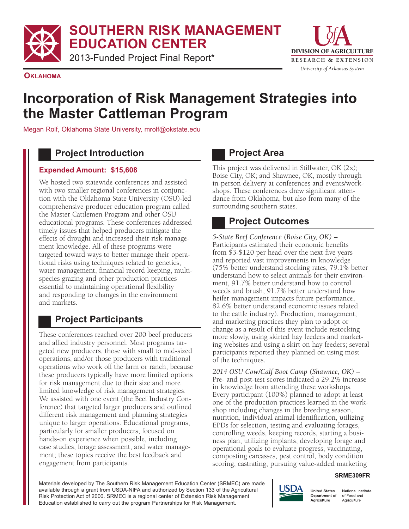**SOUTHERN RISK MANAGEMENT EDUCATION CENTER**

2013-Funded Project Final Report\*



**OKLAHOMA**

# **Incorporation of Risk Management Strategies into the Master Cattleman Program**

Megan Rolf, Oklahoma State University, mrolf@okstate.edu

### **Project Introduction**

#### **Expended Amount: \$15,608**

We hosted two statewide conferences and assisted with two smaller regional conferences in conjunction with the Oklahoma State University (OSU)-led comprehensive producer education program called the Master Cattlemen Program and other OSU educational programs. These conferences addressed timely issues that helped producers mitigate the effects of drought and increased their risk management knowledge. All of these programs were targeted toward ways to better manage their operational risks using techniques related to genetics, water management, financial record keeping, multispecies grazing and other production practices essential to maintaining operational flexibility and responding to changes in the environment and markets.

# **Project Participants**

These conferences reached over 200 beef producers and allied industry personnel. Most programs targeted new producers, those with small to mid-sized operations, and/or those producers with traditional operations who work off the farm or ranch, because these producers typically have more limited options for risk management due to their size and more limited knowledge of risk management strategies. We assisted with one event (the Beef Industry Conference) that targeted larger producers and outlined different risk management and planning strategies unique to larger operations. Educational programs, particularly for smaller producers, focused on hands-on experience when possible, including case studies, forage assessment, and water management; these topics receive the best feedback and engagement from participants.

### **Project Area**

This project was delivered in Stillwater, OK (2x); Boise City, OK; and Shawnee, OK, mostly through in-person delivery at conferences and events/workshops. These conferences drew significant attendance from Oklahoma, but also from many of the surrounding southern states.

### **Project Outcomes**

*5-State Beef Conference (Boise City, OK)* – Participants estimated their economic benefits from \$3-\$120 per head over the next five years and reported vast improvements in knowledge (75% better understand stocking rates, 79.1% better understand how to select animals for their environment, 91.7% better understand how to control weeds and brush, 91.7% better understand how heifer management impacts future performance, 82.6% better understand economic issues related to the cattle industry). Production, management, and marketing practices they plan to adopt or change as a result of this event include restocking more slowly, using skirted hay feeders and marketing websites and using a skirt on hay feeders; several participants reported they planned on using most of the techniques.

*2014 OSU Cow/Calf Boot Camp (Shawnee, OK)* – Pre- and post-test scores indicated a 29.2% increase in knowledge from attending these workshops. Every participant (100%) planned to adopt at least one of the production practices learned in the workshop including changes in the breeding season, nutrition, individual animal identification, utilizing EPDs for selection, testing and evaluating forages, controlling weeds, keeping records, starting a business plan, utilizing implants, developing forage and operational goals to evaluate progress, vaccinating, composting carcasses, pest control, body condition scoring, castrating, pursuing value-added marketing

#### **SRME309FR**

Materials developed by The Southern Risk Management Education Center (SRMEC) are made available through a grant from USDA-NIFA and authorized by Section 133 of the Agricultural Risk Protection Act of 2000. SRMEC is a regional center of Extension Risk Management Education established to carry out the program Partnerships for Risk Management.



National Institute of Food and Agriculture